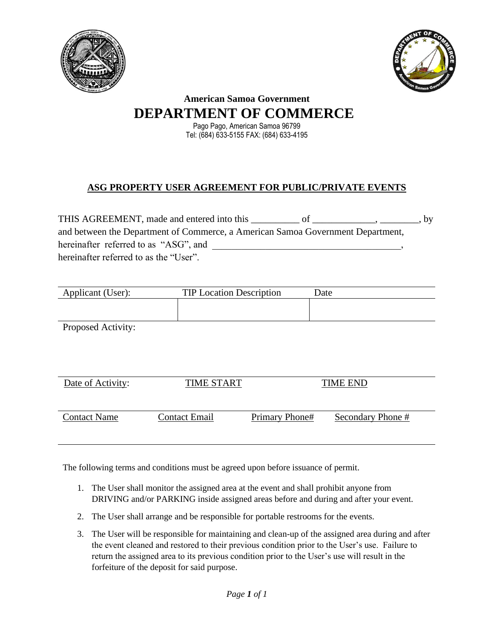



## **American Samoa Government DEPARTMENT OF COMMERCE**

Pago Pago, American Samoa 96799 Tel: (684) 633-5155 FAX: (684) 633-4195

## **ASG PROPERTY USER AGREEMENT FOR PUBLIC/PRIVATE EVENTS**

THIS AGREEMENT, made and entered into this \_\_\_\_\_\_\_\_\_ of \_\_\_\_\_\_\_\_\_\_\_, \_\_\_\_\_\_\_, by and between the Department of Commerce, a American Samoa Government Department, hereinafter referred to as "ASG", and hereinafter referred to as the "User".

| Applicant (User):   | <b>TIP Location Description</b> |                | Date              |
|---------------------|---------------------------------|----------------|-------------------|
|                     |                                 |                |                   |
| Proposed Activity:  |                                 |                |                   |
|                     |                                 |                |                   |
|                     |                                 |                |                   |
|                     |                                 |                |                   |
| Date of Activity:   | <b>TIME START</b>               |                | <b>TIME END</b>   |
|                     |                                 |                |                   |
| <b>Contact Name</b> | <b>Contact Email</b>            | Primary Phone# | Secondary Phone # |

The following terms and conditions must be agreed upon before issuance of permit.

- 1. The User shall monitor the assigned area at the event and shall prohibit anyone from DRIVING and/or PARKING inside assigned areas before and during and after your event.
- 2. The User shall arrange and be responsible for portable restrooms for the events.
- 3. The User will be responsible for maintaining and clean-up of the assigned area during and after the event cleaned and restored to their previous condition prior to the User's use. Failure to return the assigned area to its previous condition prior to the User's use will result in the forfeiture of the deposit for said purpose.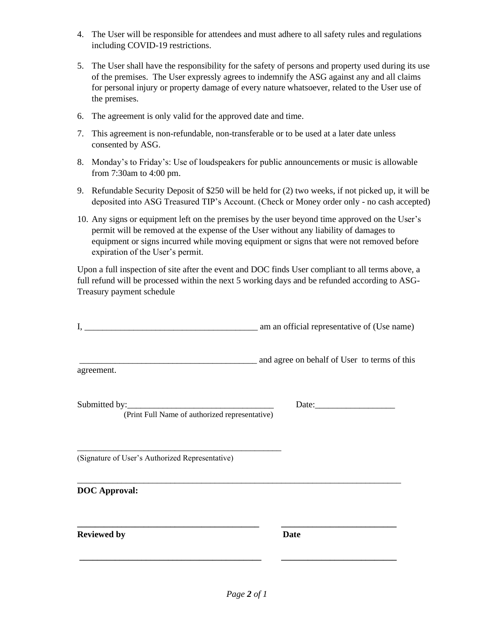- 4. The User will be responsible for attendees and must adhere to all safety rules and regulations including COVID-19 restrictions.
- 5. The User shall have the responsibility for the safety of persons and property used during its use of the premises. The User expressly agrees to indemnify the ASG against any and all claims for personal injury or property damage of every nature whatsoever, related to the User use of the premises.
- 6. The agreement is only valid for the approved date and time.
- 7. This agreement is non-refundable, non-transferable or to be used at a later date unless consented by ASG.
- 8. Monday's to Friday's: Use of loudspeakers for public announcements or music is allowable from 7:30am to 4:00 pm.
- 9. Refundable Security Deposit of \$250 will be held for (2) two weeks, if not picked up, it will be deposited into ASG Treasured TIP's Account. (Check or Money order only - no cash accepted)
- 10. Any signs or equipment left on the premises by the user beyond time approved on the User's permit will be removed at the expense of the User without any liability of damages to equipment or signs incurred while moving equipment or signs that were not removed before expiration of the User's permit.

Upon a full inspection of site after the event and DOC finds User compliant to all terms above, a full refund will be processed within the next 5 working days and be refunded according to ASG-Treasury payment schedule

| I.                                              | am an official representative of (Use name)  |
|-------------------------------------------------|----------------------------------------------|
| agreement.                                      | and agree on behalf of User to terms of this |
| (Print Full Name of authorized representative)  |                                              |
| (Signature of User's Authorized Representative) |                                              |
| <b>DOC</b> Approval:                            |                                              |
| <b>Reviewed by</b>                              | <b>Date</b>                                  |
|                                                 |                                              |